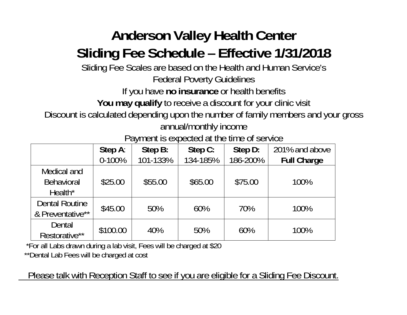## **Anderson Valley Health Center Sliding Fee Schedule – Effective 1/31/2018**

Sliding Fee Scales are based on the Health and Human Service's

Federal Poverty Guidelines

If you have **no insurance** or health benefits

You may qualify to receive a discount for your clinic visit

Discount is calculated depending upon the number of family members and your gross annual/monthly income

Payment is expected at the time of service

|                                                         | Step A:<br>$0 - 100%$ | Step B:<br>101-133% | Step C:<br>134-185% | Step D:<br>186-200% | 201% and above<br><b>Full Charge</b> |
|---------------------------------------------------------|-----------------------|---------------------|---------------------|---------------------|--------------------------------------|
| Medical and<br><b>Behavioral</b><br>Health <sup>*</sup> | \$25.00               | \$55.00             | \$65.00             | \$75.00             | 100%                                 |
| <b>Dental Routine</b><br>& Preventative**               | \$45.00               | 50%                 | 60%                 | 70%                 | 100%                                 |
| Dental<br>Restorative**                                 | \$100.00              | 40%                 | 50%                 | 60%                 | 100%                                 |

 \*For all Labs drawn during a lab visit, Fees will be charged at \$20 \*\*Dental Lab Fees will be charged at cost

Please talk with Reception Staff to see if you are eligible for a Sliding Fee Discount.